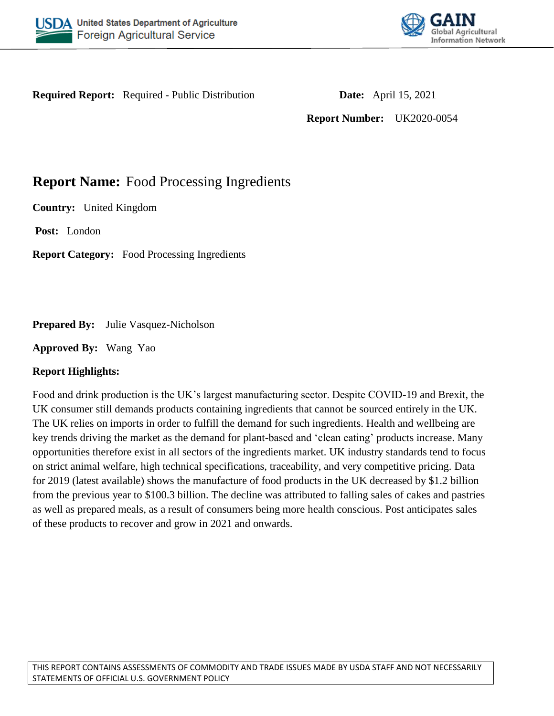



**Required Report:** Required - Public Distribution **Date:** April 15, 2021

**Report Number:** UK2020-0054

# **Report Name:** Food Processing Ingredients

**Country:** United Kingdom

**Post:** London

**Report Category:** Food Processing Ingredients

**Prepared By:** Julie Vasquez-Nicholson

**Approved By:** Wang Yao

# **Report Highlights:**

Food and drink production is the UK's largest manufacturing sector. Despite COVID-19 and Brexit, the UK consumer still demands products containing ingredients that cannot be sourced entirely in the UK. The UK relies on imports in order to fulfill the demand for such ingredients. Health and wellbeing are key trends driving the market as the demand for plant-based and 'clean eating' products increase. Many opportunities therefore exist in all sectors of the ingredients market. UK industry standards tend to focus on strict animal welfare, high technical specifications, traceability, and very competitive pricing. Data for 2019 (latest available) shows the manufacture of food products in the UK decreased by \$1.2 billion from the previous year to \$100.3 billion. The decline was attributed to falling sales of cakes and pastries as well as prepared meals, as a result of consumers being more health conscious. Post anticipates sales of these products to recover and grow in 2021 and onwards.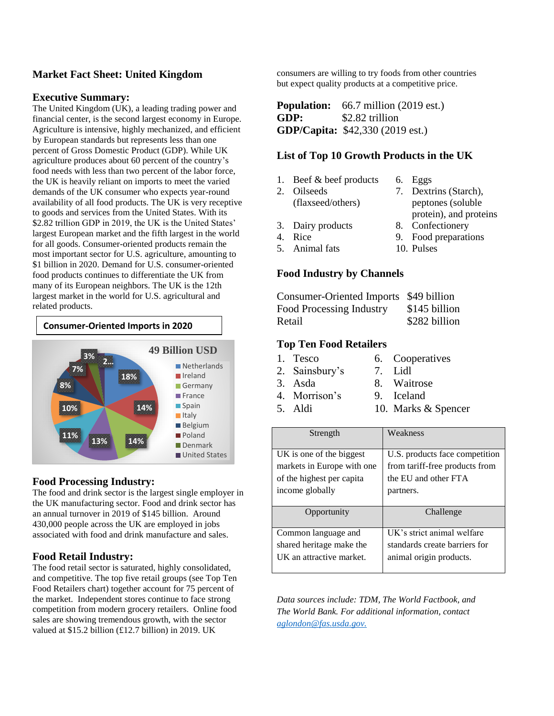# **Market Fact Sheet: United Kingdom**

#### **Executive Summary:**

The United Kingdom (UK), a leading trading power and financial center, is the [second largest](https://www.statista.com/statistics/685925/gdp-of-european-countries/) economy in Europe. Agriculture is intensive, highly mechanized, and efficient by European standards but represents less than one percent of Gross Domestic Product (GDP). While UK agriculture produces about 60 percent of the country's food needs with less than two percent of the labor force, the UK is heavily reliant on imports to meet the varied demands of the UK consumer who expects year-round availability of all food products. The UK is very receptive to goods and services from the United States. With its [\\$2.82](https://data.worldbank.org/indicator/NY.GDP.MKTP.CD?locations=GB) trillion GDP in 2019, the UK is the United States' largest European market and the fifth largest in the world for all goods. Consumer-oriented products remain the most important sector for U.S. agriculture, amounting to \$1 billion in 2020. Demand for U.S. consumer-oriented food products continues to differentiate the UK from many of its European neighbors. The UK is the 12th largest market in the world for U.S. agricultural and related products.



#### **Food Processing Industry:**

The food and drink sector is the largest single employer in the UK manufacturing sector. Food and drink sector has an annual turnover in 2019 of \$145 billion. Around 430,000 people across the UK are employed in jobs associated with food and drink manufacture and sales.

#### **Food Retail Industry:**

The food retail sector is saturated, highly consolidated, and competitive. The top five retail groups (see Top Ten Food Retailers chart) together account for 75 percent of the market. Independent stores continue to face strong competition from modern grocery retailers. Online food sales are showing tremendous growth, with the sector valued at \$15.2 billion (£12.7 billion) in 2019. UK

consumers are willing to try foods from other countries but expect quality products at a competitive price.

**Population:** [66.7 million](https://www.ons.gov.uk/peoplepopulationandcommunity/populationandmigration/populationestimates) (2019 est.) **GDP:** [\\$2.82 trillion](https://data.worldbank.org/indicator/NY.GDP.MKTP.CD?locations=GB) **GDP/Capita:** [\\$42,330](https://data.worldbank.org/indicator/NY.GDP.PCAP.CD?locations=GB) (2019 est.)

#### **List of Top 10 Growth Products in the UK**

- 1. Beef & beef products 6. Eggs
- 2. Oilseeds
	- (flaxseed/others) 7. Dextrins (Starch), peptones (soluble
- 
- protein), and proteins 3. Dairy products 8. Confectionery
- 4. Rice 9. Food preparations
- 5. Animal fats 10. Pulses

# **Food Industry by Channels**

| Consumer-Oriented Imports \$49 billion |
|----------------------------------------|
| \$145 billion                          |
| \$282 billion                          |
|                                        |

#### **Top Ten Food Retailers**

- 1. Tesco 6. Cooperatives
- 2. Sainsbury's 7. Lidl
- 3. Asda 8. Waitrose
- 4. Morrison's 9. Iceland
- 5. Aldi 10. Marks & Spencer

| Strength                   | Weakness                       |  |  |
|----------------------------|--------------------------------|--|--|
|                            |                                |  |  |
| UK is one of the biggest   | U.S. products face competition |  |  |
| markets in Europe with one | from tariff-free products from |  |  |
| of the highest per capita  | the EU and other FTA           |  |  |
| income globally            | partners.                      |  |  |
|                            |                                |  |  |
|                            |                                |  |  |
| Opportunity                | Challenge                      |  |  |
|                            |                                |  |  |
| Common language and        | UK's strict animal welfare     |  |  |
| shared heritage make the   | standards create barriers for  |  |  |
| UK an attractive market.   | animal origin products.        |  |  |

*Data sources include: TDM, The World Factbook, and The World Bank. For additional information, contact aglondon@fas.usda.gov.*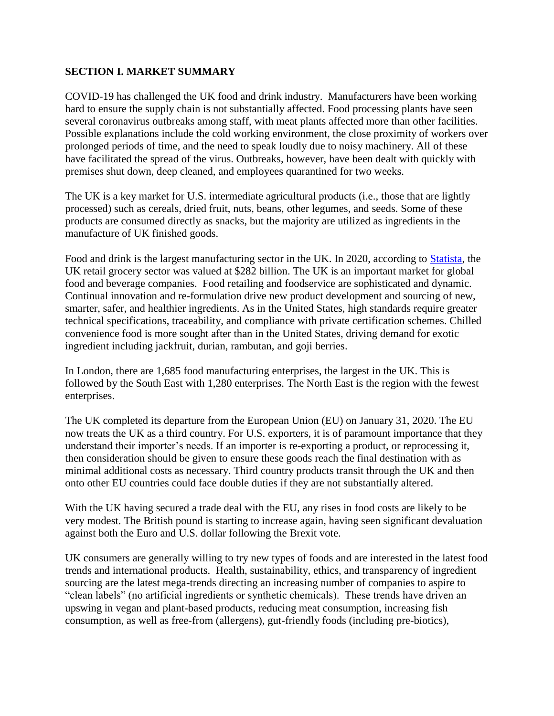# **SECTION I. MARKET SUMMARY**

COVID-19 has challenged the UK food and drink industry. Manufacturers have been working hard to ensure the supply chain is not substantially affected. Food processing plants have seen several coronavirus outbreaks among staff, with meat plants affected more than other facilities. Possible explanations include the cold working environment, the close proximity of workers over prolonged periods of time, and the need to speak loudly due to noisy machinery. All of these have facilitated the spread of the virus. Outbreaks, however, have been dealt with quickly with premises shut down, deep cleaned, and employees quarantined for two weeks.

The UK is a key market for U.S. intermediate agricultural products (i.e., those that are lightly processed) such as cereals, dried fruit, nuts, beans, other legumes, and seeds. Some of these products are consumed directly as snacks, but the majority are utilized as ingredients in the manufacture of UK finished goods.

Food and drink is the largest manufacturing sector in the UK. In 2020, according to [Statista,](https://www.statista.com/statistics/295656/grocery-retail-market-value-by-channel-in-the-united-kingdom-uk/) the UK retail grocery sector was valued at \$282 billion. The UK is an important market for global food and beverage companies. Food retailing and foodservice are sophisticated and dynamic. Continual innovation and re-formulation drive new product development and sourcing of new, smarter, safer, and healthier ingredients. As in the United States, high standards require greater technical specifications, traceability, and compliance with private certification schemes. Chilled convenience food is more sought after than in the United States, driving demand for exotic ingredient including jackfruit, durian, rambutan, and goji berries.

In London, there are 1,685 food manufacturing enterprises, the largest in the UK. This is followed by the South East with 1,280 enterprises. The North East is the region with the fewest enterprises.

The UK completed its departure from the European Union (EU) on January 31, 2020. The EU now treats the UK as a third country. For U.S. exporters, it is of paramount importance that they understand their importer's needs. If an importer is re-exporting a product, or reprocessing it, then consideration should be given to ensure these goods reach the final destination with as minimal additional costs as necessary. Third country products transit through the UK and then onto other EU countries could face double duties if they are not substantially altered.

With the UK having secured a trade deal with the EU, any rises in food costs are likely to be very modest. The British pound is starting to increase again, having seen significant devaluation against both the Euro and U.S. dollar following the Brexit vote.

UK consumers are generally willing to try new types of foods and are interested in the latest food trends and international products. Health, sustainability, ethics, and transparency of ingredient sourcing are the latest mega-trends directing an increasing number of companies to aspire to "clean labels" (no artificial ingredients or synthetic chemicals). These trends have driven an upswing in vegan and plant-based products, reducing meat consumption, increasing fish consumption, as well as free-from (allergens), gut-friendly foods (including pre-biotics),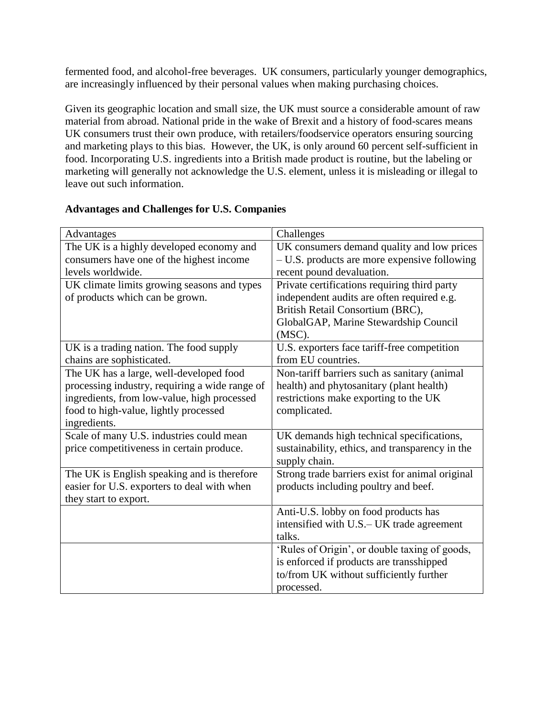fermented food, and alcohol-free beverages. UK consumers, particularly younger demographics, are increasingly influenced by their personal values when making purchasing choices.

Given its geographic location and small size, the UK must source a considerable amount of raw material from abroad. National pride in the wake of Brexit and a history of food-scares means UK consumers trust their own produce, with retailers/foodservice operators ensuring sourcing and marketing plays to this bias. However, the UK, is only around 60 percent self-sufficient in food. Incorporating U.S. ingredients into a British made product is routine, but the labeling or marketing will generally not acknowledge the U.S. element, unless it is misleading or illegal to leave out such information.

| Advantages                                     | Challenges                                      |  |  |
|------------------------------------------------|-------------------------------------------------|--|--|
| The UK is a highly developed economy and       | UK consumers demand quality and low prices      |  |  |
| consumers have one of the highest income       | $- U.S.$ products are more expensive following  |  |  |
| levels worldwide.                              | recent pound devaluation.                       |  |  |
| UK climate limits growing seasons and types    | Private certifications requiring third party    |  |  |
| of products which can be grown.                | independent audits are often required e.g.      |  |  |
|                                                | British Retail Consortium (BRC),                |  |  |
|                                                | GlobalGAP, Marine Stewardship Council           |  |  |
|                                                | $(MSC)$ .                                       |  |  |
| UK is a trading nation. The food supply        | U.S. exporters face tariff-free competition     |  |  |
| chains are sophisticated.                      | from EU countries.                              |  |  |
| The UK has a large, well-developed food        | Non-tariff barriers such as sanitary (animal    |  |  |
| processing industry, requiring a wide range of | health) and phytosanitary (plant health)        |  |  |
| ingredients, from low-value, high processed    | restrictions make exporting to the UK           |  |  |
| food to high-value, lightly processed          | complicated.                                    |  |  |
| ingredients.                                   |                                                 |  |  |
| Scale of many U.S. industries could mean       | UK demands high technical specifications,       |  |  |
| price competitiveness in certain produce.      | sustainability, ethics, and transparency in the |  |  |
|                                                | supply chain.                                   |  |  |
| The UK is English speaking and is therefore    | Strong trade barriers exist for animal original |  |  |
| easier for U.S. exporters to deal with when    | products including poultry and beef.            |  |  |
| they start to export.                          |                                                 |  |  |
|                                                | Anti-U.S. lobby on food products has            |  |  |
|                                                | intensified with U.S.– UK trade agreement       |  |  |
|                                                | talks.                                          |  |  |
|                                                | 'Rules of Origin', or double taxing of goods,   |  |  |
|                                                | is enforced if products are transshipped        |  |  |
|                                                | to/from UK without sufficiently further         |  |  |
|                                                | processed.                                      |  |  |

# **Advantages and Challenges for U.S. Companies**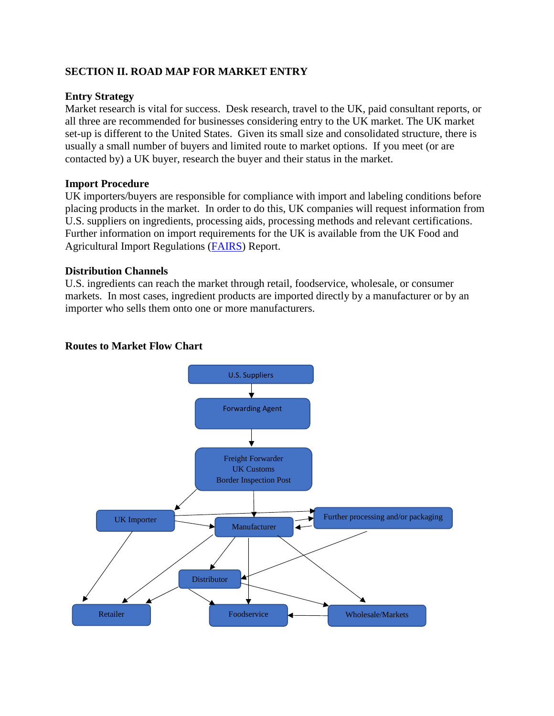# **SECTION II. ROAD MAP FOR MARKET ENTRY**

### **Entry Strategy**

Market research is vital for success. Desk research, travel to the UK, paid consultant reports, or all three are recommended for businesses considering entry to the UK market. The UK market set-up is different to the United States. Given its small size and consolidated structure, there is usually a small number of buyers and limited route to market options. If you meet (or are contacted by) a UK buyer, research the buyer and their status in the market.

#### **Import Procedure**

UK importers/buyers are responsible for compliance with import and labeling conditions before placing products in the market. In order to do this, UK companies will request information from U.S. suppliers on ingredients, processing aids, processing methods and relevant certifications. Further information on import requirements for the UK is available from the UK Food and Agricultural Import Regulations [\(FAIRS\)](https://apps.fas.usda.gov/newgainapi/api/Report/DownloadReportByFileName?fileName=Food%20and%20Agricultural%20Import%20Regulations%20and%20Standards%20Country%20Report_London_United%20Kingdom_12-31-2020) Report.

#### **Distribution Channels**

U.S. ingredients can reach the market through retail, foodservice, wholesale, or consumer markets. In most cases, ingredient products are imported directly by a manufacturer or by an importer who sells them onto one or more manufacturers.

#### **Routes to Market Flow Chart**

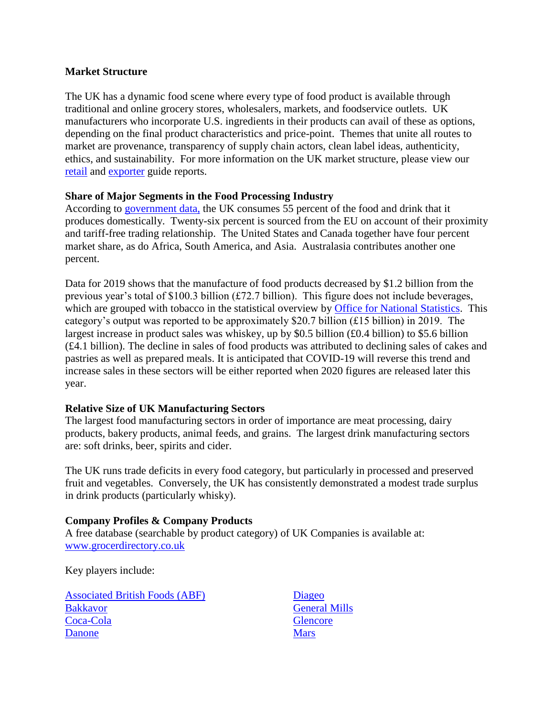#### **Market Structure**

The UK has a dynamic food scene where every type of food product is available through traditional and online grocery stores, wholesalers, markets, and foodservice outlets. UK manufacturers who incorporate U.S. ingredients in their products can avail of these as options, depending on the final product characteristics and price-point. Themes that unite all routes to market are provenance, transparency of supply chain actors, clean label ideas, authenticity, ethics, and sustainability. For more information on the UK market structure, please view our [retail](https://apps.fas.usda.gov/newgainapi/api/Report/DownloadReportByFileName?fileName=Retail%20Foods_London_United%20Kingdom_06-30-2020) and [exporter](https://apps.fas.usda.gov/newgainapi/api/Report/DownloadReportByFileName?fileName=Exporter%20Guide_London_United%20Kingdom_12-31-2020) guide reports.

#### **Share of Major Segments in the Food Processing Industry**

According to [government data,](https://www.gov.uk/government/statistics/food-statistics-pocketbook/food-statistics-in-your-pocket-global-and-uk-supply) the UK consumes 55 percent of the food and drink that it produces domestically. Twenty-six percent is sourced from the EU on account of their proximity and tariff-free trading relationship. The United States and Canada together have four percent market share, as do Africa, South America, and Asia. Australasia contributes another one percent.

Data for 2019 shows that the manufacture of food products decreased by \$1.2 billion from the previous year's total of \$100.3 billion (£72.7 billion). This figure does not include beverages, which are grouped with tobacco in the statistical overview by [Office for National Statistics.](https://www.ons.gov.uk/businessindustryandtrade/manufacturingandproductionindustry/bulletins/ukmanufacturerssalesbyproductprodcom/2019results) This category's output was reported to be approximately \$20.7 billion (£15 billion) in 2019. The largest increase in product sales was whiskey, up by \$0.5 billion (£0.4 billion) to \$5.6 billion (£4.1 billion). The decline in sales of food products was attributed to declining sales of cakes and pastries as well as prepared meals. It is anticipated that COVID-19 will reverse this trend and increase sales in these sectors will be either reported when 2020 figures are released later this year.

# **Relative Size of UK Manufacturing Sectors**

The largest food manufacturing sectors in order of importance are meat processing, dairy products, bakery products, animal feeds, and grains. The largest drink manufacturing sectors are: soft drinks, beer, spirits and cider.

The UK runs trade deficits in every food category, but particularly in processed and preserved fruit and vegetables. Conversely, the UK has consistently demonstrated a modest trade surplus in drink products (particularly whisky).

# **Company Profiles & Company Products**

A free database (searchable by product category) of UK Companies is available at: [www.grocerdirectory.co.uk](http://www.grocerdirectory.co.uk/)

Key players include:

[Associated British Foods \(ABF\)](https://www.abf.co.uk/)  [Bakkavor](https://www.bakkavor.com/) [Coca-Cola](https://www.coca-cola.co.uk/) **[Danone](http://corporate.danone.co.uk/)** 

[Diageo](https://www.diageo.com/en/our-business/where-we-operate/europe/diageo-great-britain/) [General Mills](https://www.generalmills.co.uk/) **[Glencore](https://www.glencore.com/what-we-do/agriculture) [Mars](http://www.mars.com/uk/en)**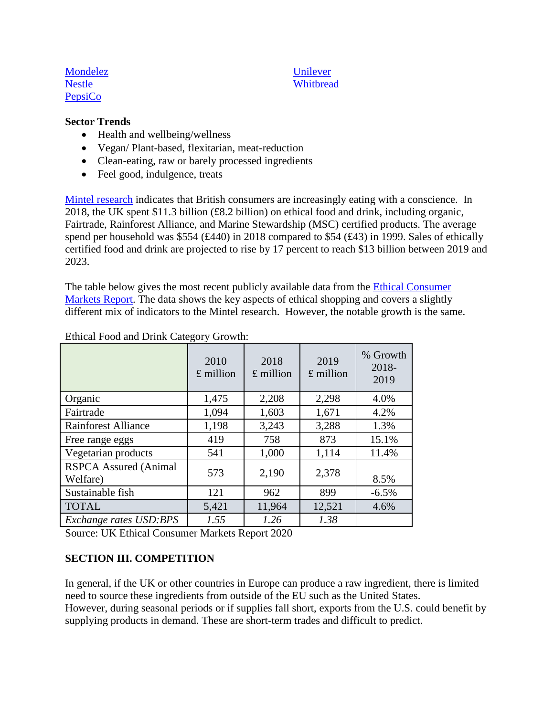[Mondelez](https://eu.mondelezinternational.com/en/about-us/northern-europe) [Nestle](http://www.nestle.co.uk/) **[PepsiCo](http://www.pepsico.co.uk/)** 

### [Unilever](https://www.unilever.co.uk/) **[Whitbread](https://www.whitbread.co.uk/)**

#### **Sector Trends**

- Health and wellbeing/wellness
- Vegan/ Plant-based, flexitarian, meat-reduction
- Clean-eating, raw or barely processed ingredients
- Feel good, indulgence, treats

[Mintel research](https://www.mintel.com/press-centre/food-and-drink/eating-with-a-conscience-ethical-food-and-drink-sales-hit-8-2-billion-in-2018) indicates that British consumers are increasingly eating with a conscience. In 2018, the UK spent \$11.3 billion (£8.2 billion) on ethical food and drink, including organic, Fairtrade, Rainforest Alliance, and Marine Stewardship (MSC) certified products. The average spend per household was \$554 (£440) in 2018 compared to \$54 (£43) in 1999. Sales of ethically certified food and drink are projected to rise by 17 percent to reach \$13 billion between 2019 and 2023.

The table below gives the most recent publicly available data from the [Ethical Consumer](https://www.ethicalconsumer.org/research-hub/uk-ethical-consumer-markets-report)  [Markets Report.](https://www.ethicalconsumer.org/research-hub/uk-ethical-consumer-markets-report) The data shows the key aspects of ethical shopping and covers a slightly different mix of indicators to the Mintel research. However, the notable growth is the same.

|                                          | 2010<br>$£$ million | 2018<br>$£$ million | 2019<br>$£$ million | % Growth<br>$2018 -$<br>2019 |
|------------------------------------------|---------------------|---------------------|---------------------|------------------------------|
| Organic                                  | 1,475               | 2,208               | 2,298               | 4.0%                         |
| Fairtrade                                | 1,094               | 1,603               | 1,671               | 4.2%                         |
| <b>Rainforest Alliance</b>               | 1,198               | 3,243               | 3,288               | 1.3%                         |
| Free range eggs                          | 419                 | 758                 | 873                 | 15.1%                        |
| Vegetarian products                      | 541                 | 1,000               | 1,114               | 11.4%                        |
| <b>RSPCA Assured (Animal</b><br>Welfare) | 573                 | 2,190               | 2,378               | 8.5%                         |
| Sustainable fish                         | 121                 | 962                 | 899                 | $-6.5%$                      |
| <b>TOTAL</b>                             | 5,421               | 11,964              | 12,521              | 4.6%                         |
| Exchange rates USD:BPS                   | 1.55                | 1.26                | 1.38                |                              |

#### Ethical Food and Drink Category Growth:

Source: UK Ethical Consumer Markets Report 2020

# **SECTION III. COMPETITION**

In general, if the UK or other countries in Europe can produce a raw ingredient, there is limited need to source these ingredients from outside of the EU such as the United States. However, during seasonal periods or if supplies fall short, exports from the U.S. could benefit by supplying products in demand. These are short-term trades and difficult to predict.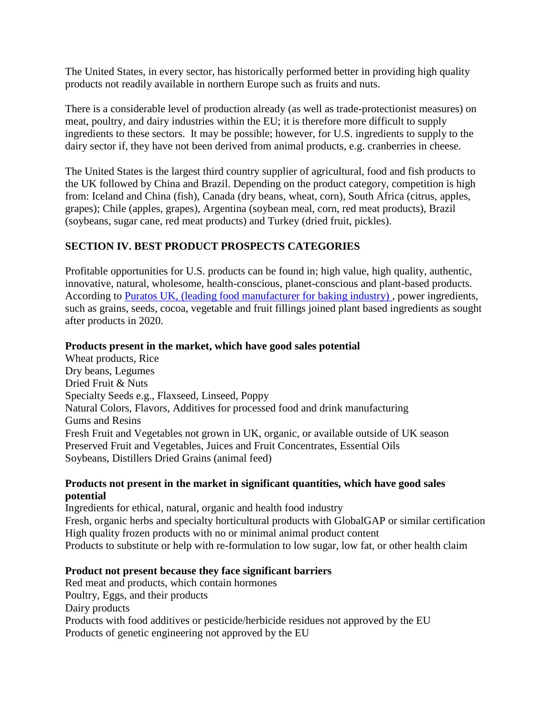The United States, in every sector, has historically performed better in providing high quality products not readily available in northern Europe such as fruits and nuts.

There is a considerable level of production already (as well as trade-protectionist measures) on meat, poultry, and dairy industries within the EU; it is therefore more difficult to supply ingredients to these sectors. It may be possible; however, for U.S. ingredients to supply to the dairy sector if, they have not been derived from animal products, e.g. cranberries in cheese.

The United States is the largest third country supplier of agricultural, food and fish products to the UK followed by China and Brazil. Depending on the product category, competition is high from: Iceland and China (fish), Canada (dry beans, wheat, corn), South Africa (citrus, apples, grapes); Chile (apples, grapes), Argentina (soybean meal, corn, red meat products), Brazil (soybeans, sugar cane, red meat products) and Turkey (dried fruit, pickles).

# **SECTION IV. BEST PRODUCT PROSPECTS CATEGORIES**

Profitable opportunities for U.S. products can be found in; high value, high quality, authentic, innovative, natural, wholesome, health-conscious, planet-conscious and plant-based products. According to [Puratos UK,](https://www.foodmanufacture.co.uk/Article/2020/01/07/Grains-and-seeds-lead-power-ingredients-trend-in-2020) (leading food manufacturer for baking industry) , power ingredients, such as grains, seeds, cocoa, vegetable and fruit fillings joined plant based ingredients as sought after products in 2020.

### **Products present in the market, which have good sales potential**

Wheat products, Rice Dry beans, Legumes Dried Fruit & Nuts Specialty Seeds e.g., Flaxseed, Linseed, Poppy Natural Colors, Flavors, Additives for processed food and drink manufacturing Gums and Resins Fresh Fruit and Vegetables not grown in UK, organic, or available outside of UK season Preserved Fruit and Vegetables, Juices and Fruit Concentrates, Essential Oils Soybeans, Distillers Dried Grains (animal feed)

### **Products not present in the market in significant quantities, which have good sales potential**

Ingredients for ethical, natural, organic and health food industry Fresh, organic herbs and specialty horticultural products with GlobalGAP or similar certification High quality frozen products with no or minimal animal product content Products to substitute or help with re-formulation to low sugar, low fat, or other health claim

# **Product not present because they face significant barriers**

Red meat and products, which contain hormones Poultry, Eggs, and their products Dairy products Products with food additives or pesticide/herbicide residues not approved by the EU Products of genetic engineering not approved by the EU